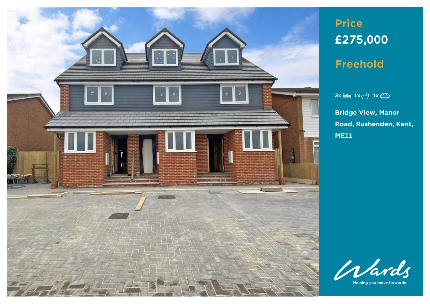

# **Price £275,000**

**Freehold**

## $3x \stackrel{\text{def}}{=} 1x \stackrel{\bullet}{\longleftrightarrow} 1x \stackrel{\text{def}}{=}$

**Bridge View, Manor Road, Rushenden, Kent, ME11**



Helping you move forwards